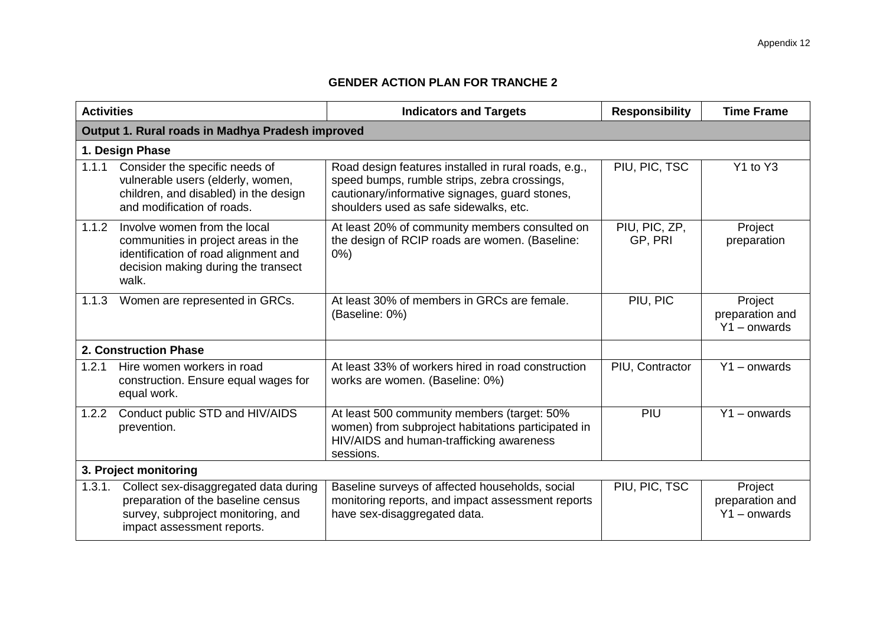## **GENDER ACTION PLAN FOR TRANCHE 2**

| <b>Activities</b>                                |                                                                                                                                                             | <b>Indicators and Targets</b>                                                                                                                                                                    | <b>Responsibility</b>    | <b>Time Frame</b>                            |  |
|--------------------------------------------------|-------------------------------------------------------------------------------------------------------------------------------------------------------------|--------------------------------------------------------------------------------------------------------------------------------------------------------------------------------------------------|--------------------------|----------------------------------------------|--|
| Output 1. Rural roads in Madhya Pradesh improved |                                                                                                                                                             |                                                                                                                                                                                                  |                          |                                              |  |
|                                                  | 1. Design Phase                                                                                                                                             |                                                                                                                                                                                                  |                          |                                              |  |
| 1.1.1                                            | Consider the specific needs of<br>vulnerable users (elderly, women,<br>children, and disabled) in the design<br>and modification of roads.                  | Road design features installed in rural roads, e.g.,<br>speed bumps, rumble strips, zebra crossings,<br>cautionary/informative signages, guard stones,<br>shoulders used as safe sidewalks, etc. | PIU, PIC, TSC            | Y1 to Y3                                     |  |
| 1.1.2                                            | Involve women from the local<br>communities in project areas in the<br>identification of road alignment and<br>decision making during the transect<br>walk. | At least 20% of community members consulted on<br>the design of RCIP roads are women. (Baseline:<br>$0\%$ )                                                                                      | PIU, PIC, ZP,<br>GP, PRI | Project<br>preparation                       |  |
| 1.1.3                                            | Women are represented in GRCs.                                                                                                                              | At least 30% of members in GRCs are female.<br>(Baseline: 0%)                                                                                                                                    | PIU, PIC                 | Project<br>preparation and<br>$Y1 -$ onwards |  |
| 2. Construction Phase                            |                                                                                                                                                             |                                                                                                                                                                                                  |                          |                                              |  |
| 1.2.1                                            | Hire women workers in road<br>construction. Ensure equal wages for<br>equal work.                                                                           | At least 33% of workers hired in road construction<br>works are women. (Baseline: 0%)                                                                                                            | PIU, Contractor          | $Y1 -$ onwards                               |  |
| 1.2.2                                            | Conduct public STD and HIV/AIDS<br>prevention.                                                                                                              | At least 500 community members (target: 50%<br>women) from subproject habitations participated in<br>HIV/AIDS and human-trafficking awareness<br>sessions.                                       | PIU                      | $Y1 -$ onwards                               |  |
| 3. Project monitoring                            |                                                                                                                                                             |                                                                                                                                                                                                  |                          |                                              |  |
| 1.3.1.                                           | Collect sex-disaggregated data during<br>preparation of the baseline census<br>survey, subproject monitoring, and<br>impact assessment reports.             | Baseline surveys of affected households, social<br>monitoring reports, and impact assessment reports<br>have sex-disaggregated data.                                                             | PIU, PIC, TSC            | Project<br>preparation and<br>$Y1 -$ onwards |  |